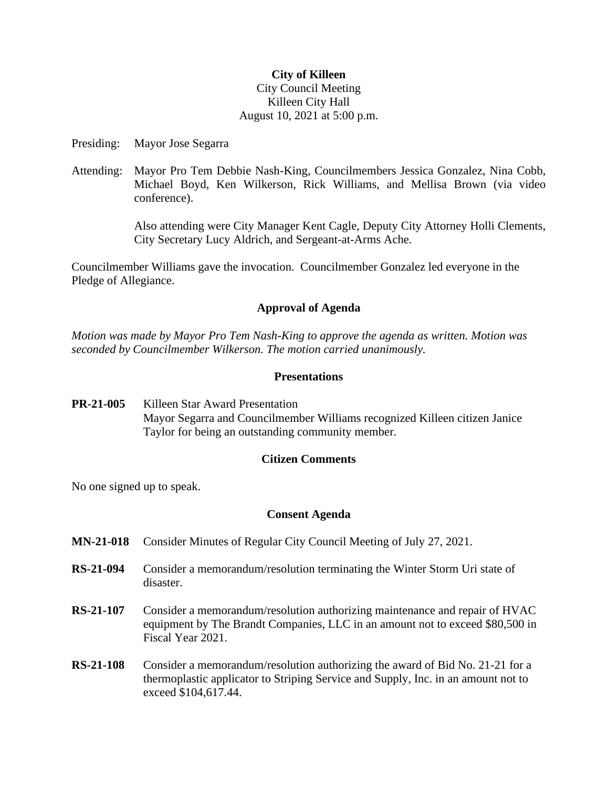### **City of Killeen**

## City Council Meeting Killeen City Hall August 10, 2021 at 5:00 p.m.

Presiding: Mayor Jose Segarra

Attending: Mayor Pro Tem Debbie Nash-King, Councilmembers Jessica Gonzalez, Nina Cobb, Michael Boyd, Ken Wilkerson, Rick Williams, and Mellisa Brown (via video conference).

> Also attending were City Manager Kent Cagle, Deputy City Attorney Holli Clements, City Secretary Lucy Aldrich, and Sergeant-at-Arms Ache.

Councilmember Williams gave the invocation. Councilmember Gonzalez led everyone in the Pledge of Allegiance.

## **Approval of Agenda**

*Motion was made by Mayor Pro Tem Nash-King to approve the agenda as written. Motion was seconded by Councilmember Wilkerson. The motion carried unanimously.*

#### **Presentations**

**PR-21-005** Killeen Star Award Presentation Mayor Segarra and Councilmember Williams recognized Killeen citizen Janice Taylor for being an outstanding community member.

# **Citizen Comments**

No one signed up to speak.

## **Consent Agenda**

- **MN-21-018** Consider Minutes of Regular City Council Meeting of July 27, 2021.
- **RS-21-094** Consider a memorandum/resolution terminating the Winter Storm Uri state of disaster.
- **RS-21-107** Consider a memorandum/resolution authorizing maintenance and repair of HVAC equipment by The Brandt Companies, LLC in an amount not to exceed \$80,500 in Fiscal Year 2021.
- **RS-21-108** Consider a memorandum/resolution authorizing the award of Bid No. 21-21 for a thermoplastic applicator to Striping Service and Supply, Inc. in an amount not to exceed \$104,617.44.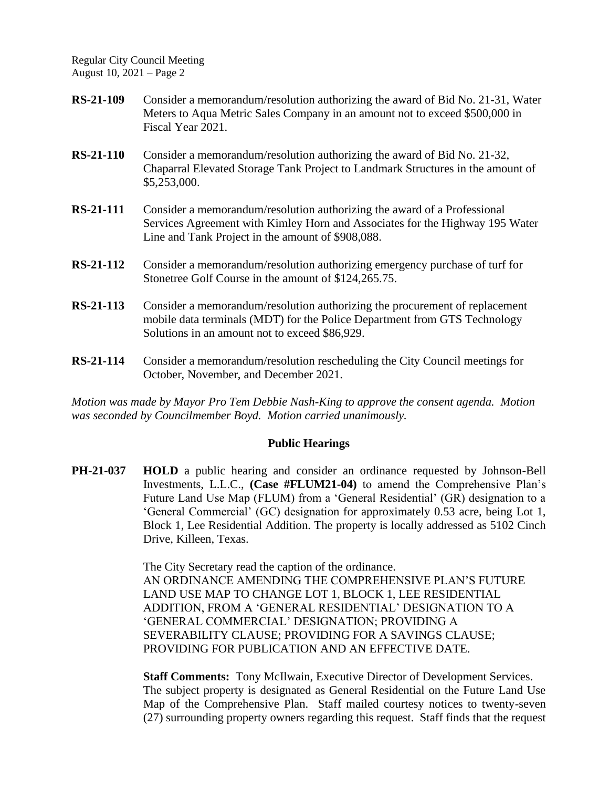- **RS-21-109** Consider a memorandum/resolution authorizing the award of Bid No. 21-31, Water Meters to Aqua Metric Sales Company in an amount not to exceed \$500,000 in Fiscal Year 2021.
- **RS-21-110** Consider a memorandum/resolution authorizing the award of Bid No. 21-32, Chaparral Elevated Storage Tank Project to Landmark Structures in the amount of \$5,253,000.
- **RS-21-111** Consider a memorandum/resolution authorizing the award of a Professional Services Agreement with Kimley Horn and Associates for the Highway 195 Water Line and Tank Project in the amount of \$908,088.
- **RS-21-112** Consider a memorandum/resolution authorizing emergency purchase of turf for Stonetree Golf Course in the amount of \$124,265.75.
- **RS-21-113** Consider a memorandum/resolution authorizing the procurement of replacement mobile data terminals (MDT) for the Police Department from GTS Technology Solutions in an amount not to exceed \$86,929.
- **RS-21-114** Consider a memorandum/resolution rescheduling the City Council meetings for October, November, and December 2021.

*Motion was made by Mayor Pro Tem Debbie Nash-King to approve the consent agenda. Motion was seconded by Councilmember Boyd. Motion carried unanimously.*

## **Public Hearings**

**PH-21-037 HOLD** a public hearing and consider an ordinance requested by Johnson-Bell Investments, L.L.C., **(Case #FLUM21-04)** to amend the Comprehensive Plan's Future Land Use Map (FLUM) from a 'General Residential' (GR) designation to a 'General Commercial' (GC) designation for approximately 0.53 acre, being Lot 1, Block 1, Lee Residential Addition. The property is locally addressed as 5102 Cinch Drive, Killeen, Texas.

> The City Secretary read the caption of the ordinance. AN ORDINANCE AMENDING THE COMPREHENSIVE PLAN'S FUTURE LAND USE MAP TO CHANGE LOT 1, BLOCK 1, LEE RESIDENTIAL ADDITION, FROM A 'GENERAL RESIDENTIAL' DESIGNATION TO A 'GENERAL COMMERCIAL' DESIGNATION; PROVIDING A SEVERABILITY CLAUSE; PROVIDING FOR A SAVINGS CLAUSE; PROVIDING FOR PUBLICATION AND AN EFFECTIVE DATE.

**Staff Comments:** Tony McIlwain, Executive Director of Development Services. The subject property is designated as General Residential on the Future Land Use Map of the Comprehensive Plan. Staff mailed courtesy notices to twenty-seven (27) surrounding property owners regarding this request. Staff finds that the request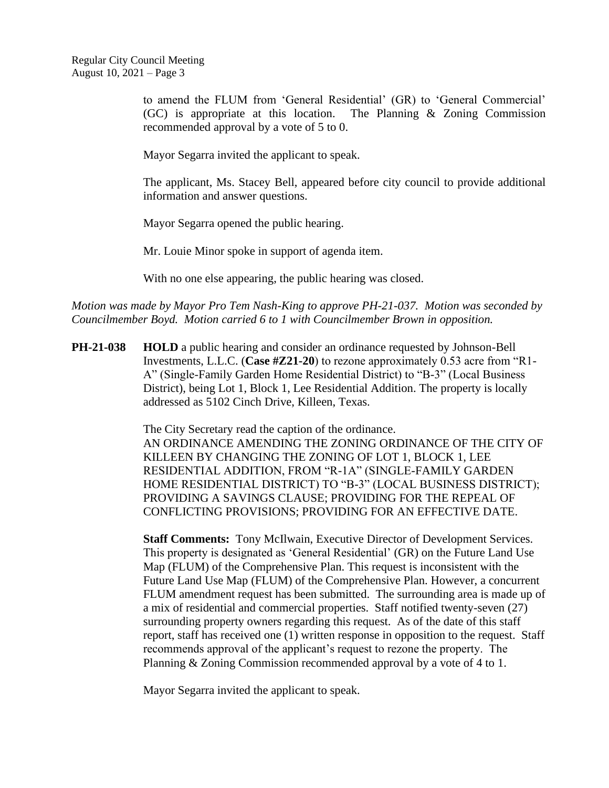to amend the FLUM from 'General Residential' (GR) to 'General Commercial' (GC) is appropriate at this location. The Planning & Zoning Commission recommended approval by a vote of 5 to 0.

Mayor Segarra invited the applicant to speak.

The applicant, Ms. Stacey Bell, appeared before city council to provide additional information and answer questions.

Mayor Segarra opened the public hearing.

Mr. Louie Minor spoke in support of agenda item.

With no one else appearing, the public hearing was closed.

*Motion was made by Mayor Pro Tem Nash-King to approve PH-21-037. Motion was seconded by Councilmember Boyd. Motion carried 6 to 1 with Councilmember Brown in opposition.*

**PH-21-038 HOLD** a public hearing and consider an ordinance requested by Johnson-Bell Investments, L.L.C. (**Case #Z21-20**) to rezone approximately 0.53 acre from "R1- A" (Single-Family Garden Home Residential District) to "B-3" (Local Business District), being Lot 1, Block 1, Lee Residential Addition. The property is locally addressed as 5102 Cinch Drive, Killeen, Texas.

> The City Secretary read the caption of the ordinance. AN ORDINANCE AMENDING THE ZONING ORDINANCE OF THE CITY OF KILLEEN BY CHANGING THE ZONING OF LOT 1, BLOCK 1, LEE RESIDENTIAL ADDITION, FROM "R-1A" (SINGLE-FAMILY GARDEN HOME RESIDENTIAL DISTRICT) TO "B-3" (LOCAL BUSINESS DISTRICT); PROVIDING A SAVINGS CLAUSE; PROVIDING FOR THE REPEAL OF CONFLICTING PROVISIONS; PROVIDING FOR AN EFFECTIVE DATE.

> **Staff Comments:** Tony McIlwain, Executive Director of Development Services. This property is designated as 'General Residential' (GR) on the Future Land Use Map (FLUM) of the Comprehensive Plan. This request is inconsistent with the Future Land Use Map (FLUM) of the Comprehensive Plan. However, a concurrent FLUM amendment request has been submitted. The surrounding area is made up of a mix of residential and commercial properties. Staff notified twenty-seven (27) surrounding property owners regarding this request. As of the date of this staff report, staff has received one (1) written response in opposition to the request. Staff recommends approval of the applicant's request to rezone the property. The Planning & Zoning Commission recommended approval by a vote of 4 to 1.

Mayor Segarra invited the applicant to speak.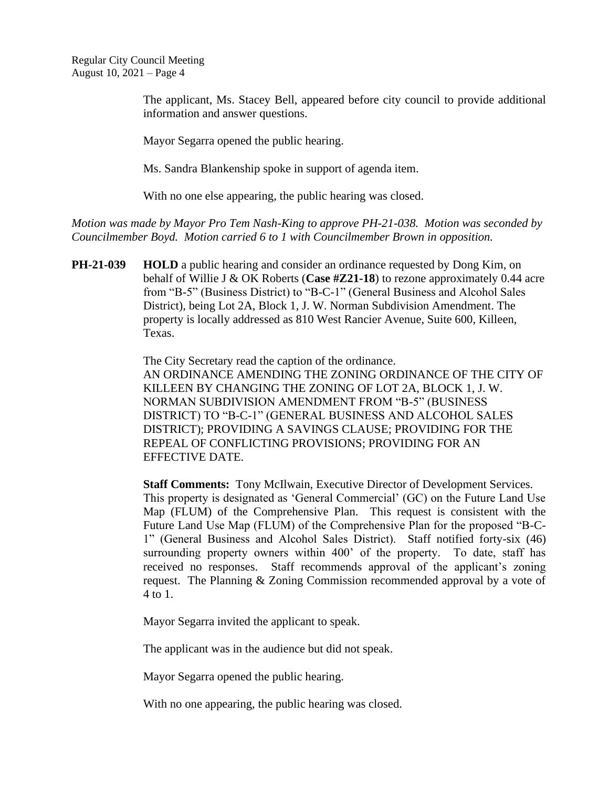> The applicant, Ms. Stacey Bell, appeared before city council to provide additional information and answer questions.

Mayor Segarra opened the public hearing.

Ms. Sandra Blankenship spoke in support of agenda item.

With no one else appearing, the public hearing was closed.

*Motion was made by Mayor Pro Tem Nash-King to approve PH-21-038. Motion was seconded by Councilmember Boyd. Motion carried 6 to 1 with Councilmember Brown in opposition.*

**PH-21-039 HOLD** a public hearing and consider an ordinance requested by Dong Kim, on behalf of Willie J & OK Roberts (**Case #Z21-18**) to rezone approximately 0.44 acre from "B-5" (Business District) to "B-C-1" (General Business and Alcohol Sales District), being Lot 2A, Block 1, J. W. Norman Subdivision Amendment. The property is locally addressed as 810 West Rancier Avenue, Suite 600, Killeen, Texas.

> The City Secretary read the caption of the ordinance. AN ORDINANCE AMENDING THE ZONING ORDINANCE OF THE CITY OF KILLEEN BY CHANGING THE ZONING OF LOT 2A, BLOCK 1, J. W. NORMAN SUBDIVISION AMENDMENT FROM "B-5" (BUSINESS DISTRICT) TO "B-C-1" (GENERAL BUSINESS AND ALCOHOL SALES DISTRICT); PROVIDING A SAVINGS CLAUSE; PROVIDING FOR THE REPEAL OF CONFLICTING PROVISIONS; PROVIDING FOR AN EFFECTIVE DATE.

> **Staff Comments:** Tony McIlwain, Executive Director of Development Services. This property is designated as 'General Commercial' (GC) on the Future Land Use Map (FLUM) of the Comprehensive Plan. This request is consistent with the Future Land Use Map (FLUM) of the Comprehensive Plan for the proposed "B-C-1" (General Business and Alcohol Sales District). Staff notified forty-six (46) surrounding property owners within 400' of the property. To date, staff has received no responses. Staff recommends approval of the applicant's zoning request. The Planning & Zoning Commission recommended approval by a vote of 4 to 1.

Mayor Segarra invited the applicant to speak.

The applicant was in the audience but did not speak.

Mayor Segarra opened the public hearing.

With no one appearing, the public hearing was closed.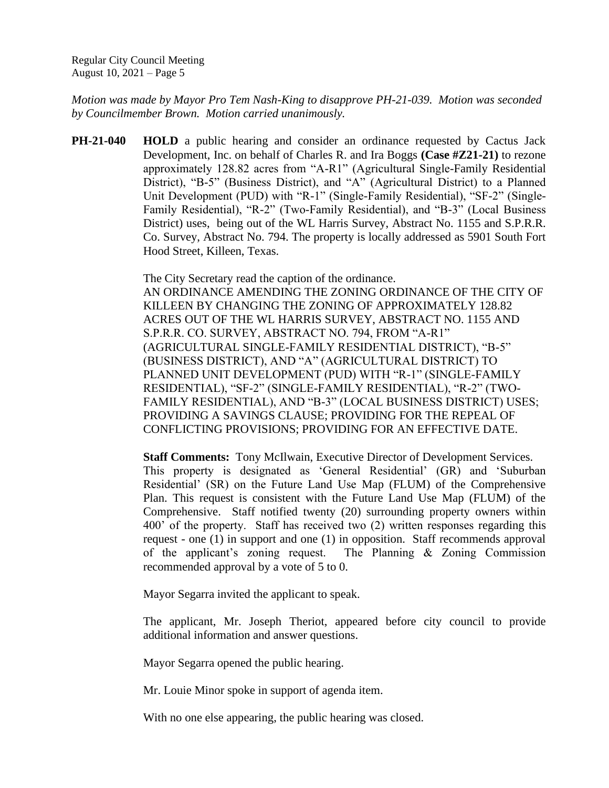*Motion was made by Mayor Pro Tem Nash-King to disapprove PH-21-039. Motion was seconded by Councilmember Brown. Motion carried unanimously.*

**PH-21-040 HOLD** a public hearing and consider an ordinance requested by Cactus Jack Development, Inc. on behalf of Charles R. and Ira Boggs **(Case #Z21-21)** to rezone approximately 128.82 acres from "A-R1" (Agricultural Single-Family Residential District), "B-5" (Business District), and "A" (Agricultural District) to a Planned Unit Development (PUD) with "R-1" (Single-Family Residential), "SF-2" (Single-Family Residential), "R-2" (Two-Family Residential), and "B-3" (Local Business District) uses, being out of the WL Harris Survey, Abstract No. 1155 and S.P.R.R. Co. Survey, Abstract No. 794. The property is locally addressed as 5901 South Fort Hood Street, Killeen, Texas.

> The City Secretary read the caption of the ordinance. AN ORDINANCE AMENDING THE ZONING ORDINANCE OF THE CITY OF KILLEEN BY CHANGING THE ZONING OF APPROXIMATELY 128.82 ACRES OUT OF THE WL HARRIS SURVEY, ABSTRACT NO. 1155 AND S.P.R.R. CO. SURVEY, ABSTRACT NO. 794, FROM "A-R1" (AGRICULTURAL SINGLE-FAMILY RESIDENTIAL DISTRICT), "B-5" (BUSINESS DISTRICT), AND "A" (AGRICULTURAL DISTRICT) TO PLANNED UNIT DEVELOPMENT (PUD) WITH "R-1" (SINGLE-FAMILY RESIDENTIAL), "SF-2" (SINGLE-FAMILY RESIDENTIAL), "R-2" (TWO-FAMILY RESIDENTIAL), AND "B-3" (LOCAL BUSINESS DISTRICT) USES; PROVIDING A SAVINGS CLAUSE; PROVIDING FOR THE REPEAL OF CONFLICTING PROVISIONS; PROVIDING FOR AN EFFECTIVE DATE.

**Staff Comments:** Tony McIlwain, Executive Director of Development Services. This property is designated as 'General Residential' (GR) and 'Suburban Residential' (SR) on the Future Land Use Map (FLUM) of the Comprehensive Plan. This request is consistent with the Future Land Use Map (FLUM) of the Comprehensive. Staff notified twenty (20) surrounding property owners within 400' of the property. Staff has received two (2) written responses regarding this request - one (1) in support and one (1) in opposition. Staff recommends approval of the applicant's zoning request. The Planning & Zoning Commission recommended approval by a vote of 5 to 0.

Mayor Segarra invited the applicant to speak.

The applicant, Mr. Joseph Theriot, appeared before city council to provide additional information and answer questions.

Mayor Segarra opened the public hearing.

Mr. Louie Minor spoke in support of agenda item.

With no one else appearing, the public hearing was closed.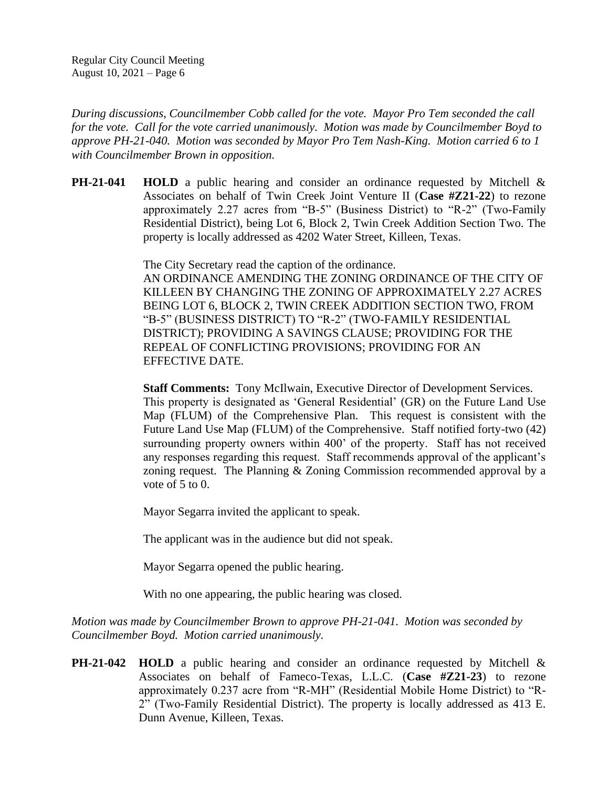*During discussions, Councilmember Cobb called for the vote. Mayor Pro Tem seconded the call for the vote. Call for the vote carried unanimously. Motion was made by Councilmember Boyd to approve PH-21-040. Motion was seconded by Mayor Pro Tem Nash-King. Motion carried 6 to 1 with Councilmember Brown in opposition.*

**PH-21-041 HOLD** a public hearing and consider an ordinance requested by Mitchell & Associates on behalf of Twin Creek Joint Venture II (**Case #Z21-22**) to rezone approximately 2.27 acres from "B-5" (Business District) to "R-2" (Two-Family Residential District), being Lot 6, Block 2, Twin Creek Addition Section Two. The property is locally addressed as 4202 Water Street, Killeen, Texas.

> The City Secretary read the caption of the ordinance. AN ORDINANCE AMENDING THE ZONING ORDINANCE OF THE CITY OF KILLEEN BY CHANGING THE ZONING OF APPROXIMATELY 2.27 ACRES BEING LOT 6, BLOCK 2, TWIN CREEK ADDITION SECTION TWO, FROM "B-5" (BUSINESS DISTRICT) TO "R-2" (TWO-FAMILY RESIDENTIAL DISTRICT); PROVIDING A SAVINGS CLAUSE; PROVIDING FOR THE REPEAL OF CONFLICTING PROVISIONS; PROVIDING FOR AN EFFECTIVE DATE.

> **Staff Comments:** Tony McIlwain, Executive Director of Development Services. This property is designated as 'General Residential' (GR) on the Future Land Use Map (FLUM) of the Comprehensive Plan. This request is consistent with the Future Land Use Map (FLUM) of the Comprehensive. Staff notified forty-two (42) surrounding property owners within 400' of the property. Staff has not received any responses regarding this request. Staff recommends approval of the applicant's zoning request. The Planning & Zoning Commission recommended approval by a vote of  $5$  to  $0$ .

Mayor Segarra invited the applicant to speak.

The applicant was in the audience but did not speak.

Mayor Segarra opened the public hearing.

With no one appearing, the public hearing was closed.

*Motion was made by Councilmember Brown to approve PH-21-041. Motion was seconded by Councilmember Boyd. Motion carried unanimously.*

**PH-21-042 HOLD** a public hearing and consider an ordinance requested by Mitchell & Associates on behalf of Fameco-Texas, L.L.C. (**Case #Z21-23**) to rezone approximately 0.237 acre from "R-MH" (Residential Mobile Home District) to "R-2" (Two-Family Residential District). The property is locally addressed as 413 E. Dunn Avenue, Killeen, Texas.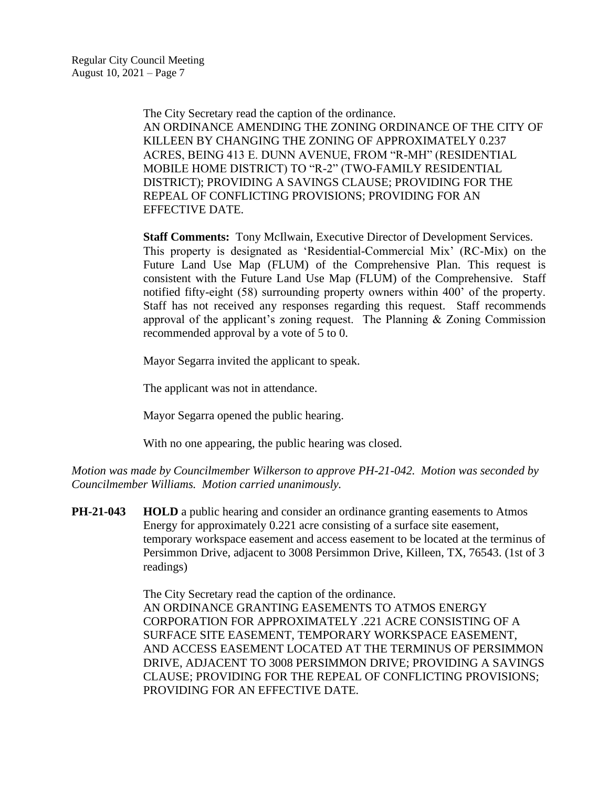The City Secretary read the caption of the ordinance. AN ORDINANCE AMENDING THE ZONING ORDINANCE OF THE CITY OF KILLEEN BY CHANGING THE ZONING OF APPROXIMATELY 0.237 ACRES, BEING 413 E. DUNN AVENUE, FROM "R-MH" (RESIDENTIAL MOBILE HOME DISTRICT) TO "R-2" (TWO-FAMILY RESIDENTIAL DISTRICT); PROVIDING A SAVINGS CLAUSE; PROVIDING FOR THE REPEAL OF CONFLICTING PROVISIONS; PROVIDING FOR AN EFFECTIVE DATE.

**Staff Comments:** Tony McIlwain, Executive Director of Development Services. This property is designated as 'Residential-Commercial Mix' (RC-Mix) on the Future Land Use Map (FLUM) of the Comprehensive Plan. This request is consistent with the Future Land Use Map (FLUM) of the Comprehensive. Staff notified fifty-eight (58) surrounding property owners within 400' of the property. Staff has not received any responses regarding this request. Staff recommends approval of the applicant's zoning request. The Planning & Zoning Commission recommended approval by a vote of 5 to 0.

Mayor Segarra invited the applicant to speak.

The applicant was not in attendance.

Mayor Segarra opened the public hearing.

With no one appearing, the public hearing was closed.

*Motion was made by Councilmember Wilkerson to approve PH-21-042. Motion was seconded by Councilmember Williams. Motion carried unanimously.*

**PH-21-043 HOLD** a public hearing and consider an ordinance granting easements to Atmos Energy for approximately 0.221 acre consisting of a surface site easement, temporary workspace easement and access easement to be located at the terminus of Persimmon Drive, adjacent to 3008 Persimmon Drive, Killeen, TX, 76543. (1st of 3 readings)

> The City Secretary read the caption of the ordinance. AN ORDINANCE GRANTING EASEMENTS TO ATMOS ENERGY CORPORATION FOR APPROXIMATELY .221 ACRE CONSISTING OF A SURFACE SITE EASEMENT, TEMPORARY WORKSPACE EASEMENT, AND ACCESS EASEMENT LOCATED AT THE TERMINUS OF PERSIMMON DRIVE, ADJACENT TO 3008 PERSIMMON DRIVE; PROVIDING A SAVINGS CLAUSE; PROVIDING FOR THE REPEAL OF CONFLICTING PROVISIONS; PROVIDING FOR AN EFFECTIVE DATE.